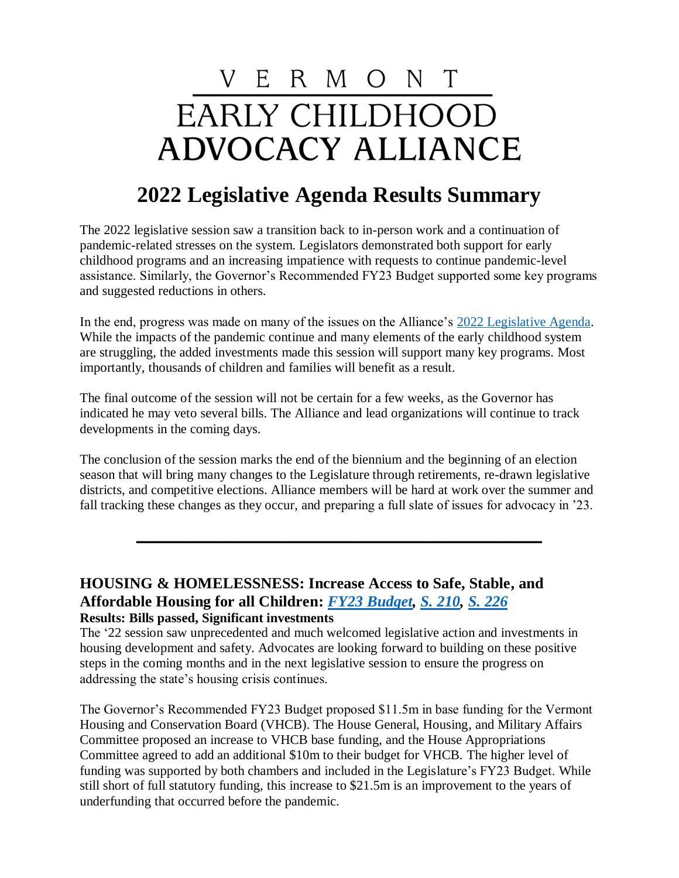# V E R M O N T **EARLY CHILDHOOD ADVOCACY ALLIANCE**

## **2022 Legislative Agenda Results Summary**

The 2022 legislative session saw a transition back to in-person work and a continuation of pandemic-related stresses on the system. Legislators demonstrated both support for early childhood programs and an increasing impatience with requests to continue pandemic-level assistance. Similarly, the Governor's Recommended FY23 Budget supported some key programs and suggested reductions in others.

In the end, progress was made on many of the issues on the Alliance's [2022 Legislative Agenda.](https://vecaa.org/legislative-agenda/) While the impacts of the pandemic continue and many elements of the early childhood system are struggling, the added investments made this session will support many key programs. Most importantly, thousands of children and families will benefit as a result.

The final outcome of the session will not be certain for a few weeks, as the Governor has indicated he may veto several bills. The Alliance and lead organizations will continue to track developments in the coming days.

The conclusion of the session marks the end of the biennium and the beginning of an election season that will bring many changes to the Legislature through retirements, re-drawn legislative districts, and competitive elections. Alliance members will be hard at work over the summer and fall tracking these changes as they occur, and preparing a full slate of issues for advocacy in '23.

**\_\_\_\_\_\_\_\_\_\_\_\_\_\_\_\_\_\_\_\_\_\_\_\_\_\_\_\_\_\_\_\_\_\_\_\_\_\_\_\_\_\_\_\_\_\_\_\_\_\_\_\_\_\_\_\_\_\_\_\_\_**

#### **HOUSING & HOMELESSNESS: Increase Access to Safe, Stable, and Affordable Housing for all Children:** *[FY23 Budget,](https://ljfo.vermont.gov/subjects/appropriations-and-budget/fy-2023/conference-budget-documents) [S. 210,](https://legislature.vermont.gov/bill/status/2022/S.210) [S. 226](https://legislature.vermont.gov/bill/status/2022/S.226)* **Results: Bills passed, Significant investments**

The '22 session saw unprecedented and much welcomed legislative action and investments in housing development and safety. Advocates are looking forward to building on these positive steps in the coming months and in the next legislative session to ensure the progress on addressing the state's housing crisis continues.

The Governor's Recommended FY23 Budget proposed \$11.5m in base funding for the Vermont Housing and Conservation Board (VHCB). The House General, Housing, and Military Affairs Committee proposed an increase to VHCB base funding, and the House Appropriations Committee agreed to add an additional \$10m to their budget for VHCB. The higher level of funding was supported by both chambers and included in the Legislature's FY23 Budget. While still short of full statutory funding, this increase to \$21.5m is an improvement to the years of underfunding that occurred before the pandemic.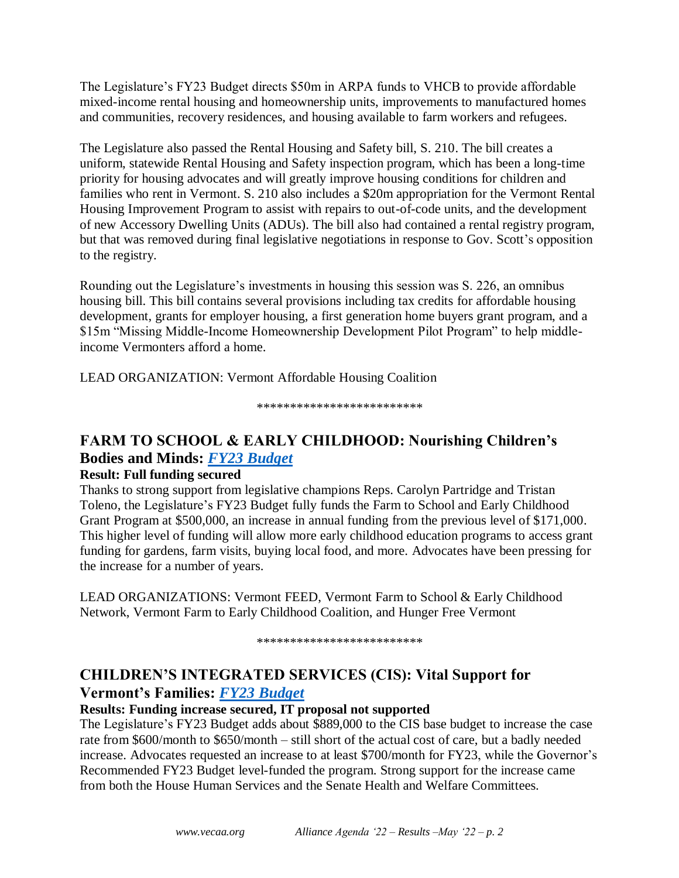The Legislature's FY23 Budget directs \$50m in ARPA funds to VHCB to provide affordable mixed-income rental housing and homeownership units, improvements to manufactured homes and communities, recovery residences, and housing available to farm workers and refugees.

The Legislature also passed the Rental Housing and Safety bill, S. 210. The bill creates a uniform, statewide Rental Housing and Safety inspection program, which has been a long-time priority for housing advocates and will greatly improve housing conditions for children and families who rent in Vermont. S. 210 also includes a \$20m appropriation for the Vermont Rental Housing Improvement Program to assist with repairs to out-of-code units, and the development of new Accessory Dwelling Units (ADUs). The bill also had contained a rental registry program, but that was removed during final legislative negotiations in response to Gov. Scott's opposition to the registry.

Rounding out the Legislature's investments in housing this session was S. 226, an omnibus housing bill. This bill contains several provisions including tax credits for affordable housing development, grants for employer housing, a first generation home buyers grant program, and a \$15m "Missing Middle-Income Homeownership Development Pilot Program" to help middleincome Vermonters afford a home.

LEAD ORGANIZATION: Vermont Affordable Housing Coalition

#### *\*\*\*\*\*\*\*\*\*\*\*\*\*\*\*\*\*\*\*\*\*\*\*\*\**

## **FARM TO SCHOOL & EARLY CHILDHOOD: Nourishing Children's Bodies and Minds:** *[FY23 Budget](https://ljfo.vermont.gov/subjects/appropriations-and-budget/fy-2023/conference-budget-documents)*

#### **Result: Full funding secured**

Thanks to strong support from legislative champions Reps. Carolyn Partridge and Tristan Toleno, the Legislature's FY23 Budget fully funds the Farm to School and Early Childhood Grant Program at \$500,000, an increase in annual funding from the previous level of \$171,000. This higher level of funding will allow more early childhood education programs to access grant funding for gardens, farm visits, buying local food, and more. Advocates have been pressing for the increase for a number of years.

LEAD ORGANIZATIONS: Vermont FEED, Vermont Farm to School & Early Childhood Network, Vermont Farm to Early Childhood Coalition, and Hunger Free Vermont

*\*\*\*\*\*\*\*\*\*\*\*\*\*\*\*\*\*\*\*\*\*\*\*\*\**

### **CHILDREN'S INTEGRATED SERVICES (CIS): Vital Support for Vermont's Families:** *[FY23 Budget](https://ljfo.vermont.gov/subjects/appropriations-and-budget/fy-2023/conference-budget-documents)*

#### **Results: Funding increase secured, IT proposal not supported**

The Legislature's FY23 Budget adds about \$889,000 to the CIS base budget to increase the case rate from \$600/month to \$650/month – still short of the actual cost of care, but a badly needed increase. Advocates requested an increase to at least \$700/month for FY23, while the Governor's Recommended FY23 Budget level-funded the program. Strong support for the increase came from both the House Human Services and the Senate Health and Welfare Committees.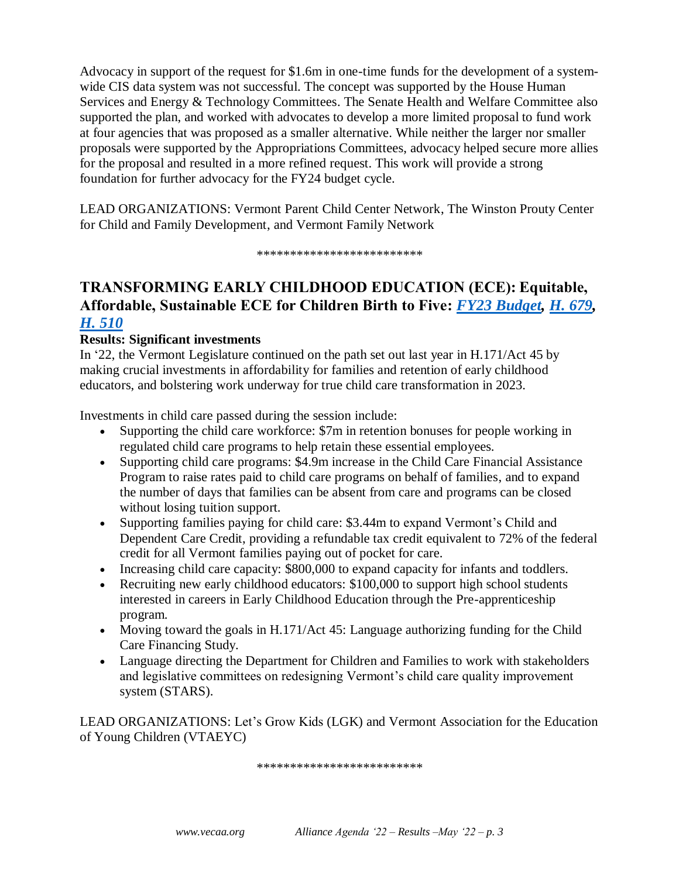Advocacy in support of the request for \$1.6m in one-time funds for the development of a systemwide CIS data system was not successful. The concept was supported by the House Human Services and Energy & Technology Committees. The Senate Health and Welfare Committee also supported the plan, and worked with advocates to develop a more limited proposal to fund work at four agencies that was proposed as a smaller alternative. While neither the larger nor smaller proposals were supported by the Appropriations Committees, advocacy helped secure more allies for the proposal and resulted in a more refined request. This work will provide a strong foundation for further advocacy for the FY24 budget cycle.

LEAD ORGANIZATIONS: Vermont Parent Child Center Network, The Winston Prouty Center for Child and Family Development, and Vermont Family Network

*\*\*\*\*\*\*\*\*\*\*\*\*\*\*\*\*\*\*\*\*\*\*\*\*\**

## **TRANSFORMING EARLY CHILDHOOD EDUCATION (ECE): Equitable, Affordable, Sustainable ECE for Children Birth to Five:** *[FY23 Budget,](https://ljfo.vermont.gov/subjects/appropriations-and-budget/fy-2023/conference-budget-documents) [H. 679,](https://legislature.vermont.gov/bill/status/2022/H.679) [H. 510](https://legislature.vermont.gov/bill/status/2022/H.510)*

#### **Results: Significant investments**

In '22, the Vermont Legislature continued on the path set out last year in H.171/Act 45 by making crucial investments in affordability for families and retention of early childhood educators, and bolstering work underway for true child care transformation in 2023.

Investments in child care passed during the session include:

- Supporting the child care workforce: \$7m in retention bonuses for people working in regulated child care programs to help retain these essential employees.
- Supporting child care programs: \$4.9m increase in the Child Care Financial Assistance Program to raise rates paid to child care programs on behalf of families, and to expand the number of days that families can be absent from care and programs can be closed without losing tuition support.
- Supporting families paying for child care: \$3.44m to expand Vermont's Child and Dependent Care Credit, providing a refundable tax credit equivalent to 72% of the federal credit for all Vermont families paying out of pocket for care.
- Increasing child care capacity: \$800,000 to expand capacity for infants and toddlers.
- Recruiting new early childhood educators: \$100,000 to support high school students interested in careers in Early Childhood Education through the Pre-apprenticeship program.
- Moving toward the goals in H.171/Act 45: Language authorizing funding for the Child Care Financing Study.
- Language directing the Department for Children and Families to work with stakeholders and legislative committees on redesigning Vermont's child care quality improvement system (STARS).

LEAD ORGANIZATIONS: Let's Grow Kids (LGK) and Vermont Association for the Education of Young Children (VTAEYC)

*\*\*\*\*\*\*\*\*\*\*\*\*\*\*\*\*\*\*\*\*\*\*\*\*\**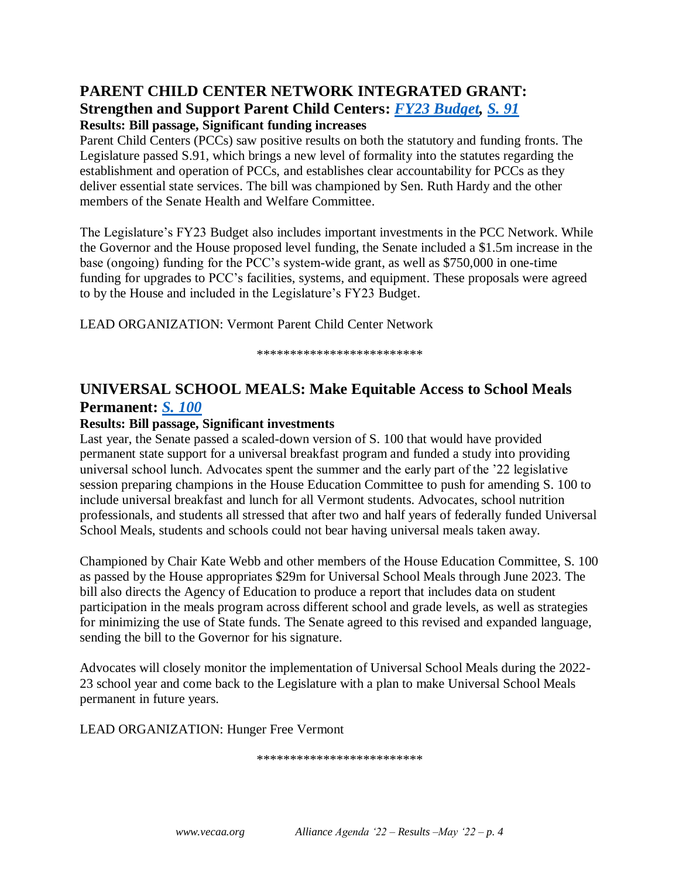#### **PARENT CHILD CENTER NETWORK INTEGRATED GRANT: Strengthen and Support Parent Child Centers:** *[FY23 Budget,](https://ljfo.vermont.gov/subjects/appropriations-and-budget/fy-2023/conference-budget-documents) [S. 91](https://legislature.vermont.gov/bill/status/2022/S.91)* **Results: Bill passage, Significant funding increases**

Parent Child Centers (PCCs) saw positive results on both the statutory and funding fronts. The Legislature passed S.91, which brings a new level of formality into the statutes regarding the establishment and operation of PCCs, and establishes clear accountability for PCCs as they deliver essential state services. The bill was championed by Sen. Ruth Hardy and the other members of the Senate Health and Welfare Committee.

The Legislature's FY23 Budget also includes important investments in the PCC Network. While the Governor and the House proposed level funding, the Senate included a \$1.5m increase in the base (ongoing) funding for the PCC's system-wide grant, as well as \$750,000 in one-time funding for upgrades to PCC's facilities, systems, and equipment. These proposals were agreed to by the House and included in the Legislature's FY23 Budget.

LEAD ORGANIZATION: Vermont Parent Child Center Network

*\*\*\*\*\*\*\*\*\*\*\*\*\*\*\*\*\*\*\*\*\*\*\*\*\**

## **UNIVERSAL SCHOOL MEALS: Make Equitable Access to School Meals Permanent:** *[S. 100](https://legislature.vermont.gov/bill/status/2022/S.100)*

#### **Results: Bill passage, Significant investments**

Last year, the Senate passed a scaled-down version of S. 100 that would have provided permanent state support for a universal breakfast program and funded a study into providing universal school lunch. Advocates spent the summer and the early part of the '22 legislative session preparing champions in the House Education Committee to push for amending S. 100 to include universal breakfast and lunch for all Vermont students. Advocates, school nutrition professionals, and students all stressed that after two and half years of federally funded Universal School Meals, students and schools could not bear having universal meals taken away.

Championed by Chair Kate Webb and other members of the House Education Committee, S. 100 as passed by the House appropriates \$29m for Universal School Meals through June 2023. The bill also directs the Agency of Education to produce a report that includes data on student participation in the meals program across different school and grade levels, as well as strategies for minimizing the use of State funds. The Senate agreed to this revised and expanded language, sending the bill to the Governor for his signature.

Advocates will closely monitor the implementation of Universal School Meals during the 2022- 23 school year and come back to the Legislature with a plan to make Universal School Meals permanent in future years.

LEAD ORGANIZATION: Hunger Free Vermont

*\*\*\*\*\*\*\*\*\*\*\*\*\*\*\*\*\*\*\*\*\*\*\*\*\**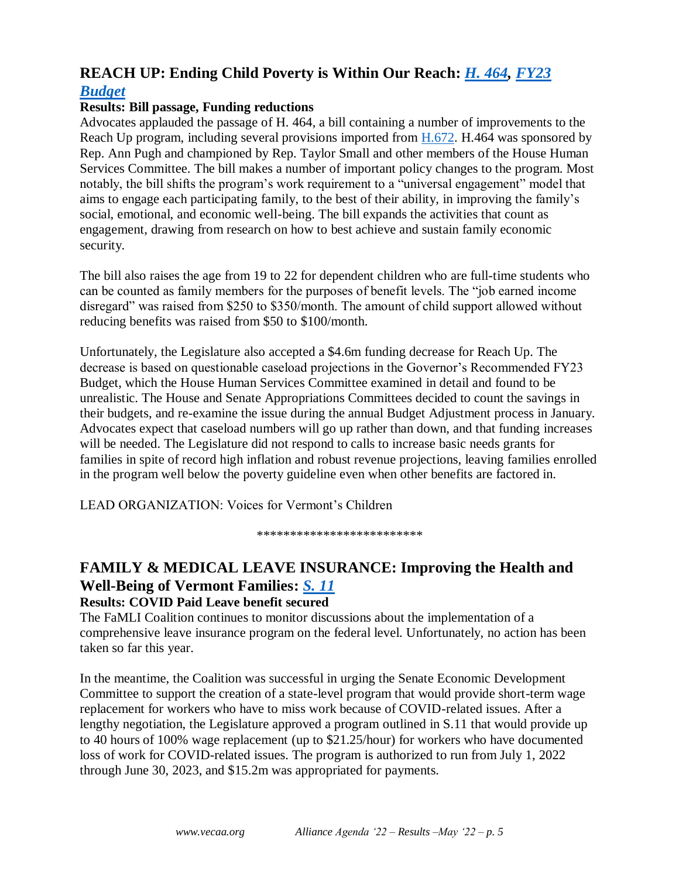## **REACH UP: Ending Child Poverty is Within Our Reach:** *[H. 464,](https://legislature.vermont.gov/bill/status/2022/H.464) [FY23](https://ljfo.vermont.gov/subjects/appropriations-and-budget/fy-2023/conference-budget-documents)  [Budget](https://ljfo.vermont.gov/subjects/appropriations-and-budget/fy-2023/conference-budget-documents)*

#### **Results: Bill passage, Funding reductions**

Advocates applauded the passage of H. 464, a bill containing a number of improvements to the Reach Up program, including several provisions imported from [H.672.](https://legislature.vermont.gov/Documents/2022/Docs/BILLS/H-0672/H-0672%20As%20Introduced.pdf) H.464 was sponsored by Rep. Ann Pugh and championed by Rep. Taylor Small and other members of the House Human Services Committee. The bill makes a number of important policy changes to the program. Most notably, the bill shifts the program's work requirement to a "universal engagement" model that aims to engage each participating family, to the best of their ability, in improving the family's social, emotional, and economic well-being. The bill expands the activities that count as engagement, drawing from research on how to best achieve and sustain family economic security.

The bill also raises the age from 19 to 22 for dependent children who are full-time students who can be counted as family members for the purposes of benefit levels. The "job earned income disregard" was raised from \$250 to \$350/month. The amount of child support allowed without reducing benefits was raised from \$50 to \$100/month.

Unfortunately, the Legislature also accepted a \$4.6m funding decrease for Reach Up. The decrease is based on questionable caseload projections in the Governor's Recommended FY23 Budget, which the House Human Services Committee examined in detail and found to be unrealistic. The House and Senate Appropriations Committees decided to count the savings in their budgets, and re-examine the issue during the annual Budget Adjustment process in January. Advocates expect that caseload numbers will go up rather than down, and that funding increases will be needed. The Legislature did not respond to calls to increase basic needs grants for families in spite of record high inflation and robust revenue projections, leaving families enrolled in the program well below the poverty guideline even when other benefits are factored in.

LEAD ORGANIZATION: Voices for Vermont's Children

*\*\*\*\*\*\*\*\*\*\*\*\*\*\*\*\*\*\*\*\*\*\*\*\*\**

## **FAMILY & MEDICAL LEAVE INSURANCE: Improving the Health and Well-Being of Vermont Families:** *[S. 11](https://legislature.vermont.gov/bill/status/2022/S.11)*

#### **Results: COVID Paid Leave benefit secured**

The FaMLI Coalition continues to monitor discussions about the implementation of a comprehensive leave insurance program on the federal level. Unfortunately, no action has been taken so far this year.

In the meantime, the Coalition was successful in urging the Senate Economic Development Committee to support the creation of a state-level program that would provide short-term wage replacement for workers who have to miss work because of COVID-related issues. After a lengthy negotiation, the Legislature approved a program outlined in S.11 that would provide up to 40 hours of 100% wage replacement (up to \$21.25/hour) for workers who have documented loss of work for COVID-related issues. The program is authorized to run from July 1, 2022 through June 30, 2023, and \$15.2m was appropriated for payments.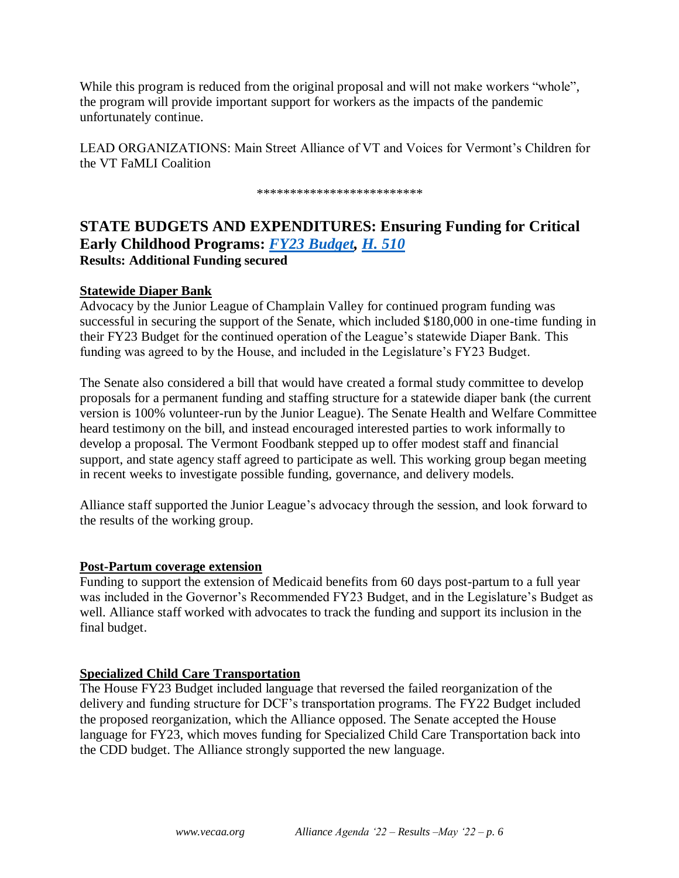While this program is reduced from the original proposal and will not make workers "whole", the program will provide important support for workers as the impacts of the pandemic unfortunately continue.

LEAD ORGANIZATIONS: Main Street Alliance of VT and Voices for Vermont's Children for the VT FaMLI Coalition

*\*\*\*\*\*\*\*\*\*\*\*\*\*\*\*\*\*\*\*\*\*\*\*\*\**

## **STATE BUDGETS AND EXPENDITURES: Ensuring Funding for Critical Early Childhood Programs:** *[FY23 Budget,](https://ljfo.vermont.gov/subjects/appropriations-and-budget/fy-2023/conference-budget-documents) [H. 510](https://legislature.vermont.gov/bill/status/2022/H.510)* **Results: Additional Funding secured**

#### **Statewide Diaper Bank**

Advocacy by the Junior League of Champlain Valley for continued program funding was successful in securing the support of the Senate, which included \$180,000 in one-time funding in their FY23 Budget for the continued operation of the League's statewide Diaper Bank. This funding was agreed to by the House, and included in the Legislature's FY23 Budget.

The Senate also considered a bill that would have created a formal study committee to develop proposals for a permanent funding and staffing structure for a statewide diaper bank (the current version is 100% volunteer-run by the Junior League). The Senate Health and Welfare Committee heard testimony on the bill, and instead encouraged interested parties to work informally to develop a proposal. The Vermont Foodbank stepped up to offer modest staff and financial support, and state agency staff agreed to participate as well. This working group began meeting in recent weeks to investigate possible funding, governance, and delivery models.

Alliance staff supported the Junior League's advocacy through the session, and look forward to the results of the working group.

#### **Post-Partum coverage extension**

Funding to support the extension of Medicaid benefits from 60 days post-partum to a full year was included in the Governor's Recommended FY23 Budget, and in the Legislature's Budget as well. Alliance staff worked with advocates to track the funding and support its inclusion in the final budget.

#### **Specialized Child Care Transportation**

The House FY23 Budget included language that reversed the failed reorganization of the delivery and funding structure for DCF's transportation programs. The FY22 Budget included the proposed reorganization, which the Alliance opposed. The Senate accepted the House language for FY23, which moves funding for Specialized Child Care Transportation back into the CDD budget. The Alliance strongly supported the new language.